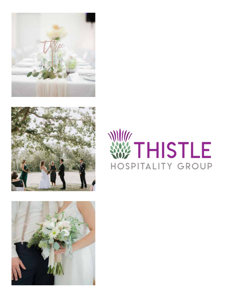





# WTHISTLE HOSPITALITY GROUP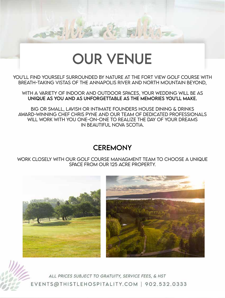## OUR VENUE

YOU'LL FIND YOURSELF SURROUNDED BY NATURE AT THE FORT VIEW GOLF COURSE WITH BREATH-TAKiNG ViSTAS OF THE ANNAPOLiS RiVER AND NORTH MOUNTAiN BEYOND,

WiTH A VARiETY OF iNDOOR AND OUTDOOR SPACES, YOUR WEDDiNG WiLL BE AS UNiQUE AS YOU AND AS UNFORGETTABLE AS THE MEMORiES YOU'LL MAKE.

BiG OR SMALL, LAViSH OR iNTiMATE FOUNDERS HOUSE DiNiNG & DRiNKS AWARD-WiNNiNG CHEF CHRiS PYNE AND OUR TEAM OF DEDiCATED PROFESSiONALS WiLL WORK WiTH YOU ONE-ON-ONE TO REALiZE THE DAY OF YOUR DREAMS iN BEAUTiFUL NOVA SCOTiA.

## **CEREMONY**

WORK CLOSELY WiTH OUR GOLF COURSE MANAGMENT TEAM TO CHOOSE A UNiQUE SPACE FROM OUR 125 ACRE PROPERTY.

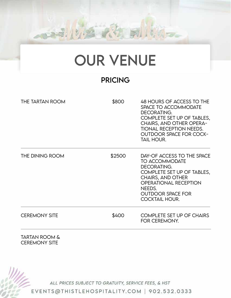## OUR VENUE

## PRiCiNG

| <b>THE TARTAN ROOM</b> | \$800  | 48 HOURS OF ACCESS TO THE<br>SPACE TO ACCOMMODATE<br><b>DECORATING.</b><br>COMPLETE SET UP OF TABLES,<br><b>CHAIRS, AND OTHER OPERA-</b><br><b>TIONAL RECEPTION NEEDS.</b><br><b>OUTDOOR SPACE FOR COCK-</b><br>TAIL HOUR.  |
|------------------------|--------|-----------------------------------------------------------------------------------------------------------------------------------------------------------------------------------------------------------------------------|
| THE DINING ROOM        | \$2500 | DAY-OF ACCESS TO THE SPACE<br><b>TO ACCOMMODATE</b><br>DECORATING.<br>COMPLETE SET UP OF TABLES,<br><b>CHAIRS, AND OTHER</b><br><b>OPERATIONAL RECEPTION</b><br>NEEDS.<br><b>OUTDOOR SPACE FOR</b><br><b>COCKTAIL HOUR.</b> |
| <b>CEREMONY SITE</b>   | \$400  | <b>COMPLETE SET UP OF CHAIRS</b><br>FOR CEREMONY.                                                                                                                                                                           |
|                        |        |                                                                                                                                                                                                                             |

TARTAN ROOM & CEREMONY SiTE

ALL PRICES SUBJECT TO GRATUITY, SERVICE FEES, & HST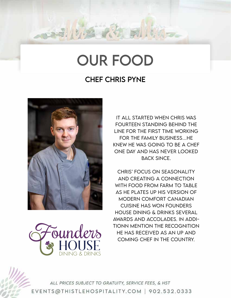## OUR FOOD

## CHEF CHRiS PYNE



<del>s</del>ounders HOUSE

ALL PRICES SUBJECT TO GRATUITY, SERVICE FEES, & HST EVENTS@THISTLEHOSPITALITY.COM | 902.532.0333

IT ALL STARTED WHEN CHRiS WAS FOURTEEN STANDiNG BEHiND THE LiNE FOR THE FiRST TiME WORKiNG FOR THE FAMiLY BUSiNESS…HE KNEW HE WAS GOiNG TO BE A CHEF ONE DAY AND HAS NEVER LOOKED BACK SiNCE.

CHRiS' FOCUS ON SEASONALiTY AND CREATiNG A CONNECTiON WiTH FOOD FROM FARM TO TABLE AS HE PLATES UP HiS VERSiON OF MODERN COMFORT CANADiAN CUiSiNE HAS WON FOUNDERS HOUSE DiNiNG & DRiNKS SEVERAL AWARDS AND ACCOLADES. IN ADDi-TiONN MENTiON THE RECOGNiTiON HE HAS RECEiVED AS AN UP AND COMiNG CHEF iN THE COUNTRY.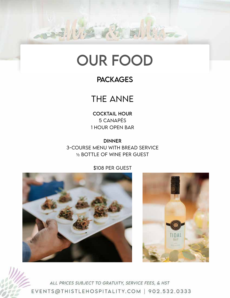## OUR FOOD

## **PACKAGES**

## THE ANNE

COCKTAiL HOUR 5 CANAPÉS 1 HOUR OPEN BAR

DiNNER 3-COURSE MENU WiTH BREAD SERViCE ½ BOTTLE OF WiNE PER GUEST

\$108 PER GUEST



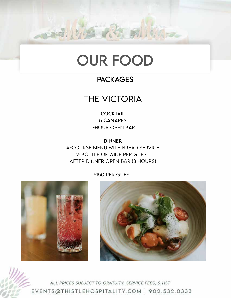## OUR FOOD

## **PACKAGES**

## THE ViCTORiA

**COCKTAIL** 5 CANAPÉS 1-HOUR OPEN BAR

DiNNER 4-COURSE MENU WiTH BREAD SERViCE ½ BOTTLE OF WiNE PER GUEST AFTER DiNNER OPEN BAR (3 HOURS)

#### \$150 PER GUEST



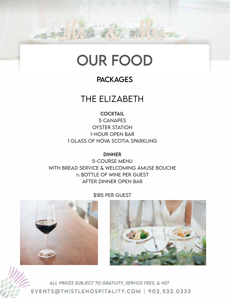

### **PACKAGES**

## THE ELiZABETH

**COCKTAIL** 

5 CANAPES OYSTER STATiON 1-HOUR OPEN BAR 1 GLASS OF NOVA SCOTiA SPARKLiNG

**DINNER** 

5-COURSE MENU WiTH BREAD SERViCE & WELCOMiNG AMUSE BOUCHE ½ BOTTLE OF WiNE PER GUEST AFTER DiNNER OPEN BAR



\$185 PER GUEST

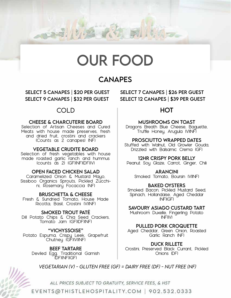

### **CANAPES**

SELECT 9 CANAPES | \$32 PER GUEST SELECT 12 CANAPES | \$39 PER GUEST

#### COLD

#### CHEESE & CHARCUTERiE BOARD

Selection of Artisan Cheeses and Cured Meats with house made preserves, fresh and dried fruit, crostini and crackers (Counts as 2 canapes) (NF)

#### VEGETABLE CRUDiTE BOARD

Selection of fresh vegetables with house made roasted garlic ranch and hummus (counts as 2) (GF)(NF)(DF)(V)

#### OPEN FACED CHiCKEN SALAD

Caramelized Onion & Mustard Mayo, Sissiboo Organics Sprouts, Pickled Zucchi- ni, Rosemary Focaccia (NF)

#### BRUSCHETTA & CHEESE

Fresh & Sundried Tomato, House Made Ricotta, Basil, Crostini (V)(NF)

#### SMOKED TROUT PATÉ

Dill Potato Chips & Chia Seed Crackers, Tomato Jam (GF)(DF)(NF)

"ViCHYSSOiSE" Potato Espuma, Crispy Leek, Grapefruit Chutney (GF)(V)(NF)

BEEF TARTARE Deviled Egg, Traditional Garnish (DF)(NF)(GF)

SELECT 5 CANAPES | \$20 PER GUEST SELECT 7 CANAPES | \$26 PER GUEST

#### HOT

#### MUSHROOMS ON TOAST

Dragons Breath Blue Cheese, Baguette, Truffle Honey, Arugula (V)(NF)

#### PROSCiUTTO WRAPPED DATES

Stuffed with Walnut, Old Growler Gouda, Drizzled with Balsamic Crema (GF)

#### 12HR CRiSPY PORK BELLY

Peanut Soy Glaze, Carrot, Ginger, Chili

#### **ARANCINI**

Smoked Tomato, Boursin (V)(NF)

#### BAKED OYSTERS

Smoked Bacon, Pickled Mustard Seed, Spinach, Hollandaise, Aged Cheddar (NF)(GF)

#### SAVOURY ASiAGO CUSTARD TART

Mushroom Duxelle, Fingerling Potato  $(NF)(V)$ 

#### PULLED PORK CROQUETTE

Aged Cheddar, Green Onion, Roasted Garlic Ranch (NF)

DUCK RiLLETE Crostini, Preserved Black Currant, Pickled Onions (DF)



*VEGETARiAN (V) - GLUTEN FREE (GF) = DAiRY FREE (DF) - NUT FREE (NF)*

ALL PRICES SUBJECT TO GRATUITY, SERVICE FEES, & HST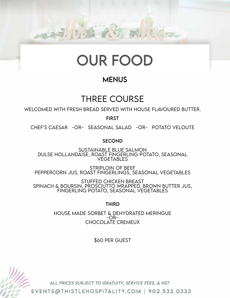

## **MENUS**

## THREE COURSE

WELCOMED WiTH FRESH BREAD SERVED WiTH HOUSE FLAVOURED BUTTER.

FiRST

CHEF'S CAESAR -OR- SEASONAL SALAD -OR- POTATO VELOUTE

**SECOND** 

SUSTAiNABLE BLUE SALMON DULSE HOLLANDAiSE, ROAST FiNGERLiNG POTATO, SEASONAL VEGETABLES

STRiPLOiN OF BEEF PEPPERCORN JUS, ROAST FiNGERLiNGS, SEASONAL VEGETABLES

STUFFED CHiCKEN BREAST SPiNACH & BOURSiN, PROSCiUTTO WRAPPED, BROWN BUTTER JUS, FiNGERLiNG POTATO, SEASONAL VEGETABLES

THiRD

HOUSE MADE SORBET & DEHYDRATED MERiNGUE -OR-CHOCOLATE CREMEUX

\$60 PER GUEST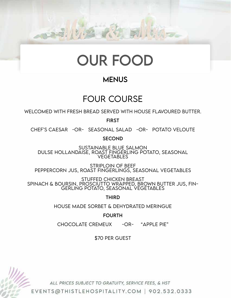

## **MENUS**

## FOUR COURSE

WELCOMED WiTH FRESH BREAD SERVED WiTH HOUSE FLAVOURED BUTTER.

FiRST

CHEF'S CAESAR -OR- SEASONAL SALAD -OR- POTATO VELOUTE

SECOND

SUSTAiNABLE BLUE SALMON DULSE HOLLANDAiSE, ROAST FiNGERLiNG POTATO, SEASONAL VEGETABLES

STRiPLOiN OF BEEF PEPPERCORN JUS, ROAST FiNGERLiNGS, SEASONAL VEGETABLES

STUFFED CHiCKEN BREAST SPiNACH & BOURSiN, PROSCiUTTO WRAPPED, BROWN BUTTER JUS, FiN-GERLiNG POTATO, SEASONAL VEGETABLES

THiRD

HOUSE MADE SORBET & DEHYDRATED MERiNGUE

FOURTH

CHOCOLATE CREMEUX - OR- "APPLE PIE"

\$70 PER GUEST

ALL PRICES SUBJECT TO GRATUITY, SERVICE FEES, & HST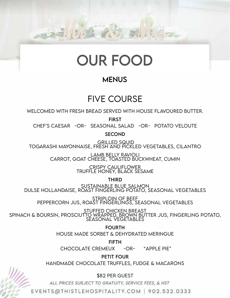

### **MENUS**

## FiVE COURSE

WELCOMED WiTH FRESH BREAD SERVED WiTH HOUSE FLAVOURED BUTTER.

FiRST

CHEF'S CAESAR -OR- SEASONAL SALAD -OR- POTATO VELOUTE

SECOND

 GRiLLED SQUiD TOGARASHi MAYONNAiSE, FRESH AND PiCKLED VEGETABLES, CiLANTRO

> LAMB BELLY RAViOLi CARROT, GOAT CHEESE, TOASTED BUCKWHEAT, CUMiN

> > CRiSPY CAULiFLOWER TRUFFLE HONEY, BLACK SESAME

> > > THiRD

SUSTAiNABLE BLUE SALMON

DULSE HOLLANDAISE, ROAST FINGERLING POTATO, SEASONAL VEGETABLES<br>STRIPLOIN OF BEEF STRIPLOIN OF BEEF<br>PEPPERCORN JUS, ROAST FINGERLINGS, SEASONAL VEGETABLES

STUFFED CHiCKEN BREAST SPiNACH & BOURSiN, PROSCiUTTO WRAPPED, BROWN BUTTER JUS, FiNGERLiNG POTATO, SEASONAL VEGETABLES

> FOURTH HOUSE MADE SORBET & DEHYDRATED MERiNGUE

FiFTH CHOCOLATE CREMEUX - OR- "APPLE PIE"

PETIT FOUR

HANDMADE CHOCOLATE TRUFFLES, FUDGE & MACARONS

\$82 PER GUEST

ALL PRICES SUBJECT TO GRATUITY, SERVICE FEES, & HST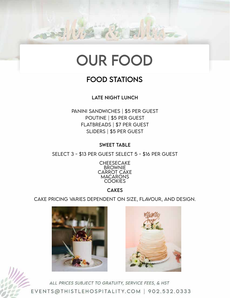

### FOOD STATiONS

LATE NiGHT LUNCH

PANiNi SANDWiCHES | \$5 PER GUEST POUTiNE | \$5 PER GUEST FLATBREADS | \$7 PER GUEST SLiDERS | \$5 PER GUEST

SWEET TABLE

SELECT 3 - \$13 PER GUEST SELECT 5 - \$16 PER GUEST



#### **CAKES**

CAKE PRiCiNG VARiES DEPENDENT ON SiZE, FLAVOUR, AND DESiGN.



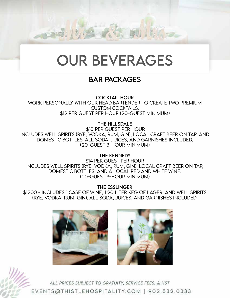

### BAR PACKAGES

COCKTAiL HOUR WORK PERSONALLY WiTH OUR HEAD BARTENDER TO CREATE TWO PREMiUM CUSTOM COCKTAiLS. \$12 PER GUEST PER HOUR (20-GUEST MiNiMUM)

THE HiLLSDALE

 \$10 PER GUEST PER HOUR INCLUDES WELL SPiRiTS (RYE, VODKA, RUM, GiN), LOCAL CRAFT BEER ON TAP, AND DOMESTiC BOTTLES. ALL SODA, JUiCES, AND GARNiSHES iNCLUDED. (20-GUEST 3-HOUR MiNiMUM)

THE KENNEDY \$14 PER GUEST PER HOUR INCLUDES WELL SPiRiTS (RYE, VODKA, RUM, GiN), LOCAL CRAFT BEER ON TAP, DOMESTiC BOTTLES, AND A LOCAL RED AND WHiTE WiNE. (20-GUEST 3-HOUR MiNiMUM)

THE ESSLiNGER

\$1200 - INCLUDES 1 CASE OF WiNE, 1 20 LiTER KEG OF LAGER, AND WELL SPiRiTS (RYE, VODKA, RUM, GiN). ALL SODA, JUiCES, AND GARNiSHES iNCLUDED.